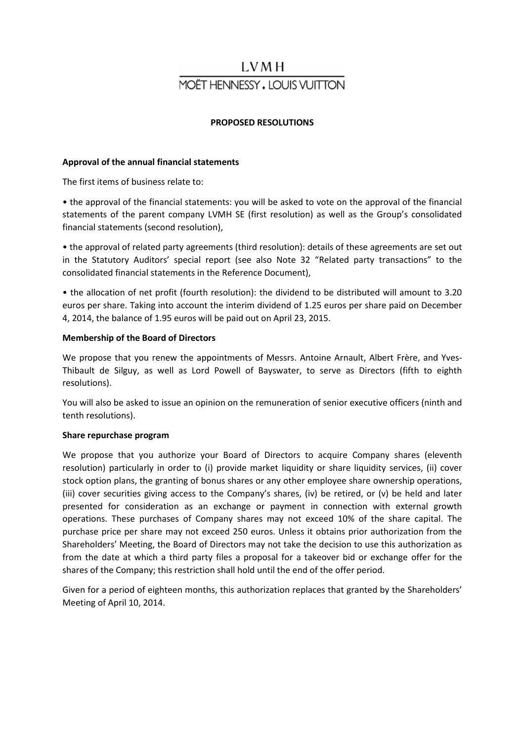# LVM H **MOËT HENNESSY, LOUIS VUITTON**

# **PROPOSED RESOLUTIONS**

# **Approval of the annual financial statements**

The first items of business relate to:

• the approval of the financial statements: you will be asked to vote on the approval of the financial statements of the parent company LVMH SE (first resolution) as well as the Group's consolidated financial statements (second resolution),

• the approval of related party agreements (third resolution): details of these agreements are set out in the Statutory Auditors' special report (see also Note 32 "Related party transactions" to the consolidated financial statements in the Reference Document),

• the allocation of net profit (fourth resolution): the dividend to be distributed will amount to 3.20 euros per share. Taking into account the interim dividend of 1.25 euros per share paid on December 4, 2014, the balance of 1.95 euros will be paid out on April 23, 2015.

## **Membership of the Board of Directors**

We propose that you renew the appointments of Messrs. Antoine Arnault, Albert Frère, and Yves-Thibault de Silguy, as well as Lord Powell of Bayswater, to serve as Directors (fifth to eighth resolutions).

You will also be asked to issue an opinion on the remuneration of senior executive officers (ninth and tenth resolutions).

#### **Share repurchase program**

We propose that you authorize your Board of Directors to acquire Company shares (eleventh resolution) particularly in order to (i) provide market liquidity or share liquidity services, (ii) cover stock option plans, the granting of bonus shares or any other employee share ownership operations, (iii) cover securities giving access to the Company's shares, (iv) be retired, or (v) be held and later presented for consideration as an exchange or payment in connection with external growth operations. These purchases of Company shares may not exceed 10% of the share capital. The purchase price per share may not exceed 250 euros. Unless it obtains prior authorization from the Shareholders' Meeting, the Board of Directors may not take the decision to use this authorization as from the date at which a third party files a proposal for a takeover bid or exchange offer for the shares of the Company; this restriction shall hold until the end of the offer period.

Given for a period of eighteen months, this authorization replaces that granted by the Shareholders' Meeting of April 10, 2014.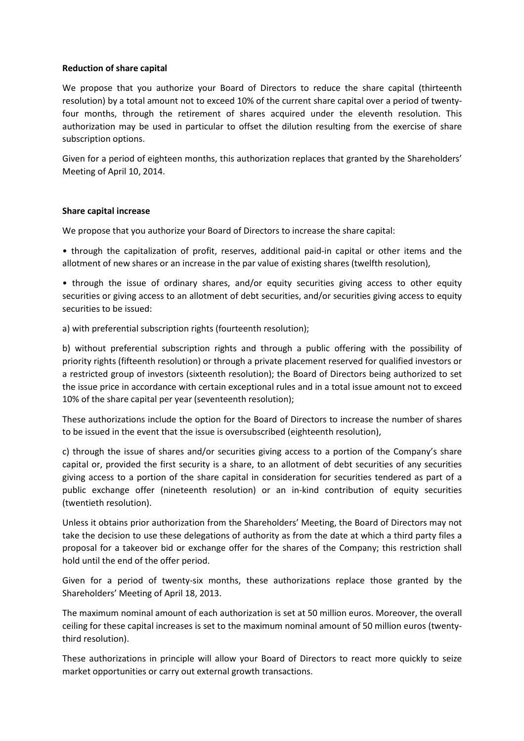# **Reduction of share capital**

We propose that you authorize your Board of Directors to reduce the share capital (thirteenth resolution) by a total amount not to exceed 10% of the current share capital over a period of twentyfour months, through the retirement of shares acquired under the eleventh resolution. This authorization may be used in particular to offset the dilution resulting from the exercise of share subscription options.

Given for a period of eighteen months, this authorization replaces that granted by the Shareholders' Meeting of April 10, 2014.

## **Share capital increase**

We propose that you authorize your Board of Directors to increase the share capital:

• through the capitalization of profit, reserves, additional paid-in capital or other items and the allotment of new shares or an increase in the par value of existing shares (twelfth resolution),

• through the issue of ordinary shares, and/or equity securities giving access to other equity securities or giving access to an allotment of debt securities, and/or securities giving access to equity securities to be issued:

a) with preferential subscription rights (fourteenth resolution);

b) without preferential subscription rights and through a public offering with the possibility of priority rights (fifteenth resolution) or through a private placement reserved for qualified investors or a restricted group of investors (sixteenth resolution); the Board of Directors being authorized to set the issue price in accordance with certain exceptional rules and in a total issue amount not to exceed 10% of the share capital per year (seventeenth resolution);

These authorizations include the option for the Board of Directors to increase the number of shares to be issued in the event that the issue is oversubscribed (eighteenth resolution),

c) through the issue of shares and/or securities giving access to a portion of the Company's share capital or, provided the first security is a share, to an allotment of debt securities of any securities giving access to a portion of the share capital in consideration for securities tendered as part of a public exchange offer (nineteenth resolution) or an in-kind contribution of equity securities (twentieth resolution).

Unless it obtains prior authorization from the Shareholders' Meeting, the Board of Directors may not take the decision to use these delegations of authority as from the date at which a third party files a proposal for a takeover bid or exchange offer for the shares of the Company; this restriction shall hold until the end of the offer period.

Given for a period of twenty-six months, these authorizations replace those granted by the Shareholders' Meeting of April 18, 2013.

The maximum nominal amount of each authorization is set at 50 million euros. Moreover, the overall ceiling for these capital increases is set to the maximum nominal amount of 50 million euros (twentythird resolution).

These authorizations in principle will allow your Board of Directors to react more quickly to seize market opportunities or carry out external growth transactions.